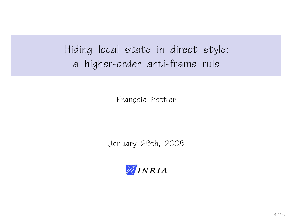Hiding local state in direct style: a higher-order anti-frame rule

François Pottier

January 28th, 2008

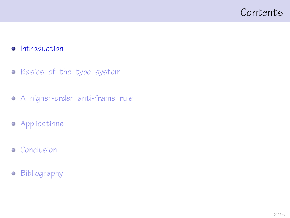### <span id="page-1-0"></span>Contents

#### **•** [Introduction](#page-1-0)

- **•** [Basics of the type system](#page-11-0)
- [A higher-order anti-frame rule](#page-21-0)
- **•** [Applications](#page-39-0)
- **•** [Conclusion](#page-51-0)
- **•** [Bibliography](#page-62-0)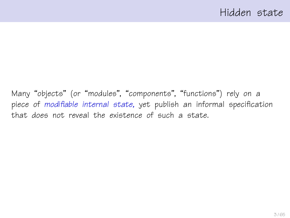Many "objects" (or "modules", "components", "functions") rely on a piece of modifiable internal state, yet publish an informal specification that does not reveal the existence of such a state.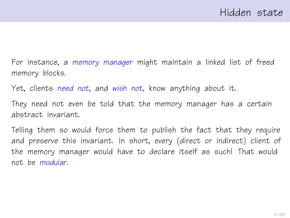For instance, a memory manager might maintain a linked list of freed memory blocks.

Yet, clients need not, and wish not, know anything about it.

They need not even be told that the memory manager has a certain abstract invariant.

Telling them so would force them to publish the fact that they require and preserve this invariant. In short, every (direct or indirect) client of the memory manager would have to declare itself as such! That would not be modular.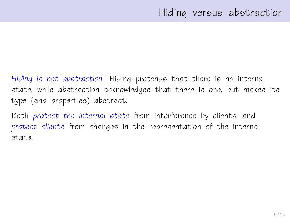Hiding is not abstraction. Hiding pretends that there is no internal state, while abstraction acknowledges that there is one, but makes its type (and properties) abstract.

Both protect the internal state from interference by clients, and protect clients from changes in the representation of the internal state.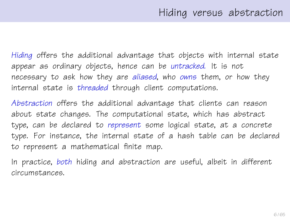Hiding offers the additional advantage that objects with internal state appear as ordinary objects, hence can be untracked. It is not necessary to ask how they are aliased, who owns them, or how they internal state is threaded through client computations.

Abstraction offers the additional advantage that clients can reason about state changes. The computational state, which has abstract type, can be declared to represent some logical state, at a concrete type. For instance, the internal state of a hash table can be declared to represent a mathematical finite map.

In practice, both hiding and abstraction are useful, albeit in different circumstances.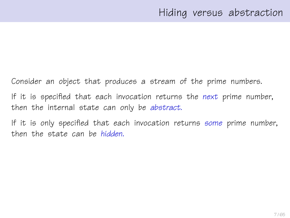Consider an object that produces a stream of the prime numbers. If it is specified that each invocation returns the next prime number, then the internal state can only be abstract.

If it is only specified that each invocation returns some prime number, then the state can be hidden.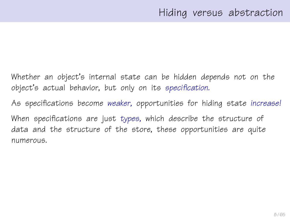Whether an object's internal state can be hidden depends not on the object's actual behavior, but only on its specification.

As specifications become weaker, opportunities for hiding state increase!

When specifications are just types, which describe the structure of data and the structure of the store, these opportunities are quite numerous.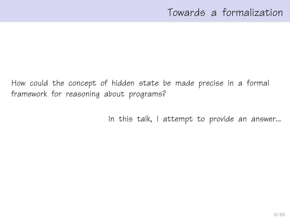How could the concept of hidden state be made precise in a formal framework for reasoning about programs?

In this talk, I attempt to provide an answer...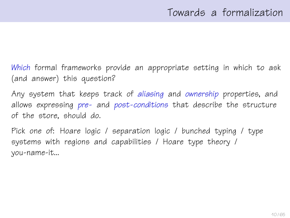Which formal frameworks provide an appropriate setting in which to ask (and answer) this question?

Any system that keeps track of aliasing and ownership properties, and allows expressing pre- and post-conditions that describe the structure of the store, should do.

Pick one of: Hoare logic / separation logic / bunched typing / type systems with regions and capabilities / Hoare type theory / you-name-it...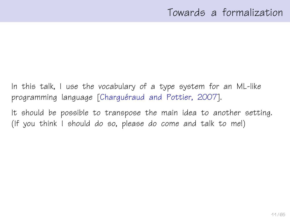In this talk, I use the vocabulary of a type system for an ML-like programming language [Charguéraud and Pottier, 2007].

It should be possible to transpose the main idea to another setting. (If you think I should do so, please do come and talk to me!)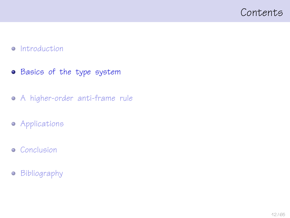### <span id="page-11-0"></span>Contents

#### • [Introduction](#page-1-0)

- **•** [Basics of the type system](#page-11-0)
- [A higher-order anti-frame rule](#page-21-0)
- **•** [Applications](#page-39-0)
- **•** [Conclusion](#page-51-0)
- **•** [Bibliography](#page-62-0)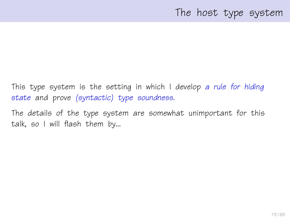## The host type system

This type system is the setting in which I develop a rule for hiding state and prove (syntactic) type soundness.

The details of the type system are somewhat unimportant for this talk, so I will flash them by...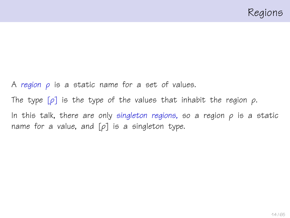A region  $\rho$  is a static name for a set of values. The type  $[\rho]$  is the type of the values that inhabit the region  $\rho$ . In this talk, there are only singleton regions, so a region  $\rho$  is a static name for a value, and  $[\rho]$  is a singleton type.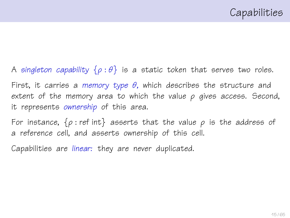A singleton capability  $\{\rho : \theta\}$  is a static token that serves two roles. First, it carries a memory type  $\theta$ , which describes the structure and extent of the memory area to which the value  $\rho$  gives access. Second, it represents ownership of this area.

For instance,  $\{\rho : \text{ref int}\}$  asserts that the value  $\rho$  is the address of a reference cell, and asserts ownership of this cell.

Capabilities are linear: they are never duplicated.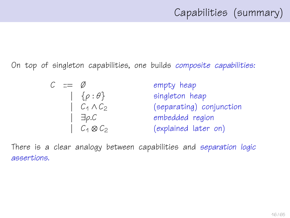On top of singleton capabilities, one builds composite capabilities:

$$
C ::= \emptyset \qquad \text{empty heap}
$$
\n
$$
[ \begin{array}{ccc} \{ \rho : \theta \} & \text{singleton heap} \\ \{ C_1 \land C_2 \} & \text{(separating) conjunction} \\ \{ \end{array} \}
$$
\n
$$
[ \begin{array}{ccc} \exists \rho. C & \text{embedding} \\ \{ C_4 \otimes C_2 \} & \text{(explained later on)} \end{array} ]
$$

There is a clear analogy between capabilities and separation logic assertions.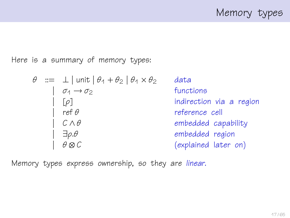Memory types

Here is a summary of memory types:

| $\theta$ | :=                              | $\bot$   unit   $\theta_1 + \theta_2$   $\theta_1 \times \theta_2$ | data |
|----------|---------------------------------|--------------------------------------------------------------------|------|
|          | $\sigma_1 \rightarrow \sigma_2$ | functions                                                          |      |
|          | [ $\rho$ ]                      | indirection via a region                                           |      |
|          | $\sigma_1 \rightarrow \sigma_2$ | reference cell                                                     |      |
|          | $\sigma_1 \land \theta$         | embedded capability                                                |      |
|          | $\exists \rho. \theta$          | embedded region                                                    |      |
|          | $\theta \otimes C$              | (explained later on)                                               |      |

Memory types express ownership, so they are linear.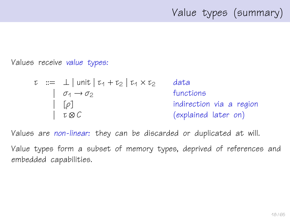# Value types (summary)

Values receive value types:

$$
\tau ::= \bot | \text{unit} | \tau_1 + \tau_2 | \tau_1 \times \tau_2
$$
 data  
\n
$$
| \sigma_1 \rightarrow \sigma_2
$$
 functions  
\n
$$
| \tau \otimes C
$$
 (explained later on)

Values are non-linear: they can be discarded or duplicated at will.

Value types form a subset of memory types, deprived of references and embedded capabilities.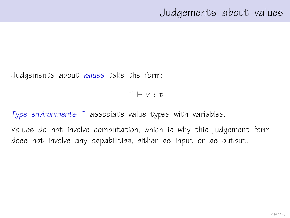### Judgements about values

Judgements about values take the form:

 $\Gamma \vdash v : \tau$ 

Type environments Γ associate value types with variables.

Values do not involve computation, which is why this judgement form does not involve any capabilities, either as input or as output.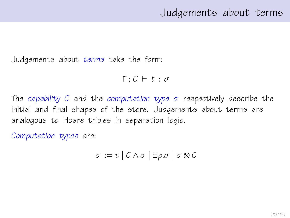Judgements about terms take the form:

 $\Gamma : C \vdash t : \sigma$ 

The capability C and the computation type  $\sigma$  respectively describe the initial and final shapes of the store. Judgements about terms are analogous to Hoare triples in separation logic.

Computation types are:

$$
\sigma ::= \tau \mid C \wedge \sigma \mid \exists \rho. \sigma \mid \sigma \otimes C
$$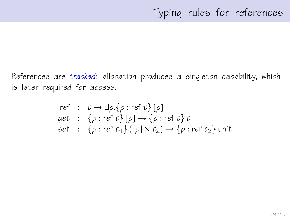References are tracked: allocation produces a singleton capability, which is later required for access.

ref : 
$$
\tau \rightarrow \exists \rho . \{\rho : \text{ref } \tau\} [\rho]
$$
  
get : { $\rho : \text{ref } \tau\} [\rho] \rightarrow \{\rho : \text{ref } \tau\} \tau$   
set : { $\rho : \text{ref } \tau_1\} ([\rho] \times \tau_2) \rightarrow \{\rho : \text{ref } \tau_2\}$ unit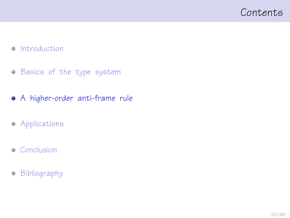### <span id="page-21-0"></span>Contents

#### • [Introduction](#page-1-0)

- **•** [Basics of the type system](#page-11-0)
- [A higher-order anti-frame rule](#page-21-0)
- **•** [Applications](#page-39-0)
- **•** [Conclusion](#page-51-0)
- **•** [Bibliography](#page-62-0)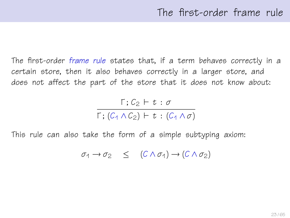The first-order frame rule states that, if a term behaves correctly in a certain store, then it also behaves correctly in a larger store, and does not affect the part of the store that it does not know about:

$$
\frac{\Gamma\,;\,C_2\,\vdash\,t\,:\,\sigma}{\Gamma\,;\, (C_1\wedge C_2)\,\vdash\,t\,:\, (C_1\wedge\sigma)}
$$

This rule can also take the form of a simple subtyping axiom:

$$
\sigma_1 \to \sigma_2 \quad \leq \quad (C \wedge \sigma_1) \to (C \wedge \sigma_2)
$$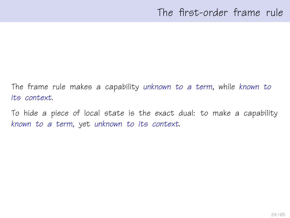The frame rule makes a capability unknown to a term, while known to its context.

To hide a piece of local state is the exact dual: to make a capability known to a term, yet unknown to its context.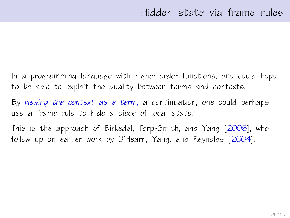In a programming language with higher-order functions, one could hope to be able to exploit the duality between terms and contexts.

By viewing the context as a term, a continuation, one could perhaps use a frame rule to hide a piece of local state.

This is the approach of Birkedal, Torp-Smith, and Yang [\[2006\]](#page-63-1), who follow up on earlier work by O'Hearn, Yang, and Reynolds [\[2004\]](#page-63-2).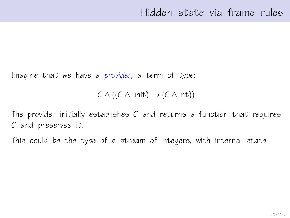Imagine that we have a provider, a term of type:

 $C \wedge ((C \wedge \text{unit}) \rightarrow (C \wedge \text{int}))$ 

The provider initially establishes  $C$  and returns a function that requires C and preserves it.

This could be the type of a stream of integers, with internal state.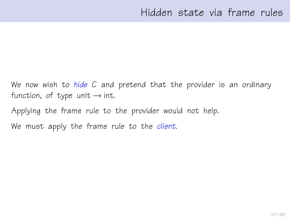We now wish to hide C and pretend that the provider is an ordinary function, of type unit  $\rightarrow$  int.

Applying the frame rule to the provider would not help.

We must apply the frame rule to the client.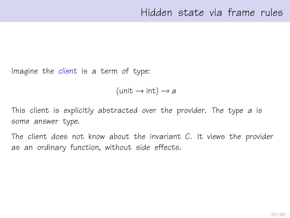Imagine the client is a term of type:

 $(\text{unit} \rightarrow \text{int}) \rightarrow a$ 

This client is explicitly abstracted over the provider. The type a is some answer type.

The client does not know about the invariant  $C$ . It views the provider as an ordinary function, without side effects.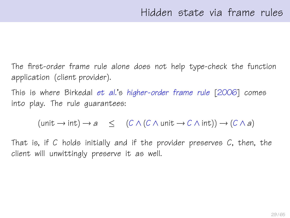The first-order frame rule alone does not help type-check the function application (client provider).

This is where Birkedal et al.'s higher-order frame rule [\[2006\]](#page-63-1) comes into play. The rule guarantees:

 $(\text{unit} \rightarrow \text{int}) \rightarrow a \quad \leq \quad (C \land (C \land \text{unit} \rightarrow C \land \text{int})) \rightarrow (C \land a)$ 

That is, if C holds initially and if the provider preserves  $C$ , then, the client will unwittingly preserve it as well.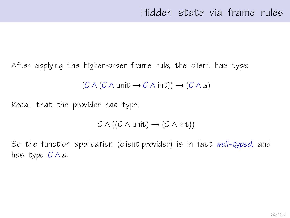After applying the higher-order frame rule, the client has type:

$$
(C \wedge (C \wedge \text{unit} \rightarrow C \wedge \text{int})) \rightarrow (C \wedge a)
$$

Recall that the provider has type:

$$
C \wedge ((C \wedge \mathsf{unit}) \rightarrow (C \wedge \mathsf{int}))
$$

So the function application (client provider) is in fact well-typed, and has type  $C \wedge a$ .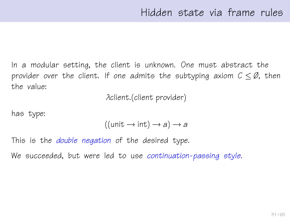In a modular setting, the client is unknown. One must abstract the provider over the client. If one admits the subtyping axiom  $C \leq \emptyset$ , then the value:

λclient.(client provider)

has type:

$$
((unit \rightarrow int) \rightarrow a) \rightarrow a
$$

This is the *double negation* of the desired type.

We succeeded, but were led to use continuation-passing style.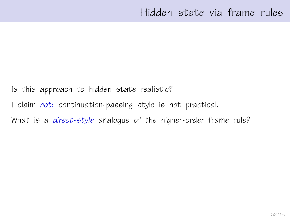Is this approach to hidden state realistic?

I claim not: continuation-passing style is not practical.

What is a direct-style analoque of the higher-order frame rule?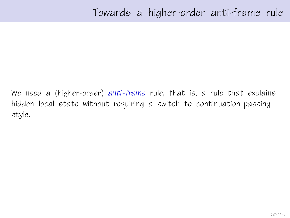We need a (higher-order) anti-frame rule, that is, a rule that explains hidden local state without requiring a switch to continuation-passing style.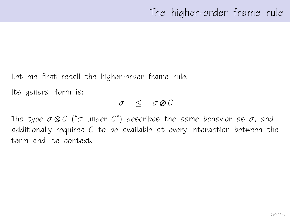Let me first recall the higher-order frame rule.

Its general form is:

σ ≤ σ ⊗ C

The type  $\sigma \otimes C$  (" $\sigma$  under C") describes the same behavior as  $\sigma$ , and additionally requires C to be available at every interaction between the term and its context.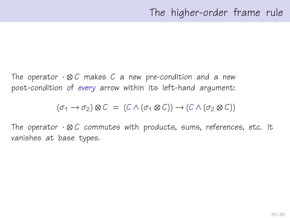The operator  $\cdot \otimes C$  makes C a new pre-condition and a new post-condition of every arrow within its left-hand argument:

$$
(\sigma_1 \to \sigma_2) \otimes C = (C \wedge (\sigma_1 \otimes C)) \to (C \wedge (\sigma_2 \otimes C))
$$

The operator  $\cdot \otimes C$  commutes with products, sums, references, etc. It vanishes at base types.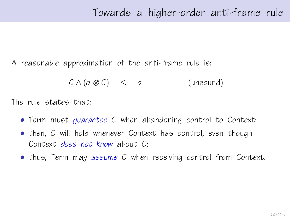A reasonable approximation of the anti-frame rule is:

$$
C \wedge (\sigma \otimes C) \leq \sigma \qquad \qquad \text{(unsound)}
$$

The rule states that:

- Term must guarantee C when abandoning control to Context;
- then, C will hold whenever Context has control, even though Context does not know about C;
- thus, Term may assume C when receiving control from Context.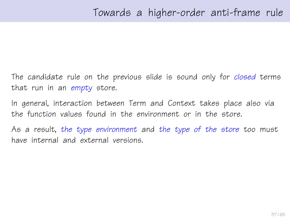The candidate rule on the previous slide is sound only for closed terms that run in an empty store.

In general, interaction between Term and Context takes place also via the function values found in the environment or in the store.

As a result, the type environment and the type of the store too must have internal and external versions.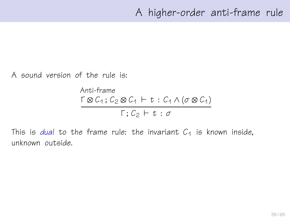A sound version of the rule is:

Anti-frame  $\Gamma \otimes C_1$ ;  $C_2 \otimes C_1 \vdash t : C_1 \wedge (\sigma \otimes C_1)$  $\Gamma: C_2 \vdash t : \sigma$ 

This is dual to the frame rule: the invariant  $C_1$  is known inside, unknown outside.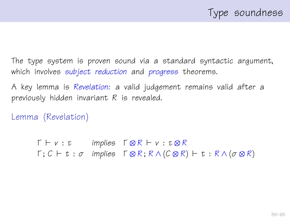The type system is proven sound via a standard syntactic argument, which involves subject reduction and progress theorems.

A key lemma is Revelation: a valid judgement remains valid after a previously hidden invariant R is revealed.

Lemma (Revelation)

 $\Gamma \vdash v : \tau$  implies  $\Gamma \otimes R \vdash v : \tau \otimes R$  $\Gamma$ ;  $C \vdash t : \sigma$  implies  $\Gamma \otimes R$ ;  $R \wedge (C \otimes R) \vdash t : R \wedge (\sigma \otimes R)$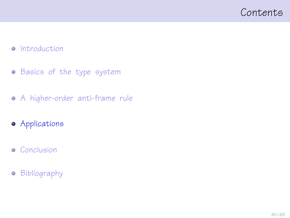### <span id="page-39-0"></span>Contents

#### • [Introduction](#page-1-0)

- **•** [Basics of the type system](#page-11-0)
- [A higher-order anti-frame rule](#page-21-0)
- **•** [Applications](#page-39-0)
- **•** [Conclusion](#page-51-0)
- **•** [Bibliography](#page-62-0)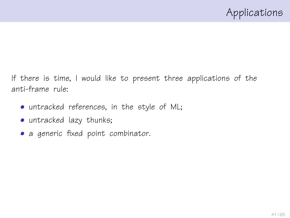If there is time, I would like to present three applications of the anti-frame rule:

- untracked references, in the style of ML;
- untracked lazy thunks;
- a generic fixed point combinator.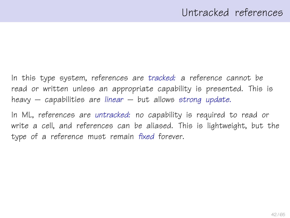In this type system, references are tracked: a reference cannot be read or written unless an appropriate capability is presented. This is heavy – capabilities are linear – but allows strong update.

In ML, references are untracked: no capability is required to read or write a cell, and references can be aliased. This is lightweight, but the type of a reference must remain fixed forever.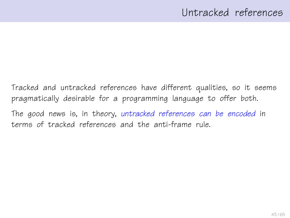Tracked and untracked references have different qualities, so it seems pragmatically desirable for a programming language to offer both.

The good news is, in theory, untracked references can be encoded in terms of tracked references and the anti-frame rule.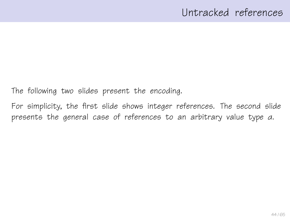The following two slides present the encoding.

For simplicity, the first slide shows integer references. The second slide presents the general case of references to an arbitrary value type α.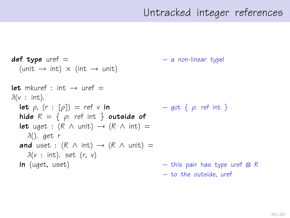## Untracked integer references

```
def type uref = - a non-linear type!
  (\text{unit} \rightarrow \text{int}) \times (\text{int} \rightarrow \text{unit})let mkuref \cdot int \rightarrow uref =\lambda(v : \text{int}).let \rho, (r : [\rho]) = ref \vee in – got \{\rho: ref \in \mathbb{R}\}\)hide R = \{ \rho: \text{ref int } \} outside of
  let uget : (R \wedge \text{unit}) \rightarrow (R \wedge \text{int}) =λ(). get r
  and uset : (R \wedge int) \rightarrow (R \wedge unit) =\lambda(v : \text{int}). set (r, v)in (uget, uset) – this pair has type uref ⊗ R
                                                       – to the outside, uref
```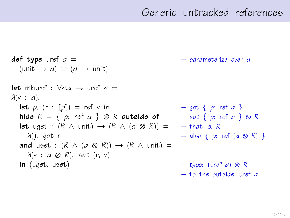## Generic untracked references

 $def\ type\ uref\ a =$  – parameterize over a  $(unit \rightarrow a) \times (a \rightarrow unit)$ let mkuref :  $\forall a.a \rightarrow$  uref  $a =$  $\lambda(v : a)$ . **let**  $\rho$ ,  $(r : [\rho]) = ref v$  in  $- qot \{ \rho : ref a \}$ hide  $R = \{ \rho: \text{ref } a \} \otimes R$  outside of  $\qquad - \text{got } \{ \rho: \text{ref } a \} \otimes R$ **let** uget :  $(R \wedge \text{unit}) \rightarrow (R \wedge (a \otimes R)) = -$  that is, R λ(). get r – also { ρ: ref (α ⊗ R) } **and** uset :  $(R \wedge (a \otimes R)) \rightarrow (R \wedge \text{unit}) =$  $\lambda(v : a \otimes R)$ . set (r, v) **in** (uget, uset) – type: (uref a)  $\otimes$  R – to the outside, uref α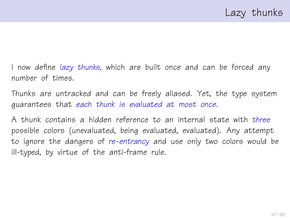I now define lazy thunks, which are built once and can be forced any number of times.

Thunks are untracked and can be freely aliased. Yet, the type system guarantees that each thunk is evaluated at most once.

A thunk contains a hidden reference to an internal state with three possible colors (unevaluated, being evaluated, evaluated). Any attempt to ignore the dangers of re-entrancy and use only two colors would be ill-typed, by virtue of the anti-frame rule.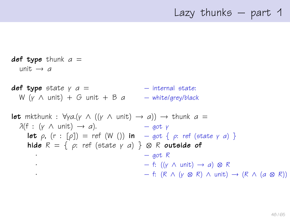## Lazy thunks – part 1

def type thunk  $a =$ unit  $\rightarrow$  a **def type** state  $y = a$  =  $-$  internal state: W (v  $\wedge$  unit) + G unit + B a – white/grey/black **let** mkthunk :  $\forall$ γ*a*.(γ  $\land$  ((γ  $\land$  unit)  $\rightarrow$  *a*))  $\rightarrow$  thunk *a* =  $\lambda(f : (y \wedge \text{unit}) \rightarrow a).$  – got y **let**  $\rho$ ,  $(r : [\rho]) = ref(W())$  in – got  $\{\rho: ref (state \gamma \alpha)\}\$ hide  $R = \{ \rho: \text{ref } (\text{state } \gamma \text{ a}) \} \otimes R$  outside of  $-$  got R  $\cdot$  – f: ((γ  $\wedge$  unit)  $\rightarrow$  a)  $\otimes$  R  $-$  f: (R ∧ (γ ⊗ R) ∧ unit) → (R ∧ (a ⊗ R))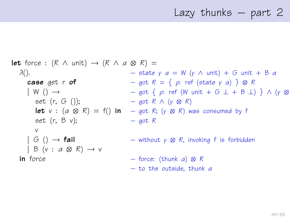# Lazy thunks – part 2

**let** force: 
$$
(R \wedge \text{unit}) \rightarrow (R \wedge a \otimes R) =
$$

\n $\lambda()$ .

\n**case** get  $r \circ f$ 

\n $\begin{array}{rcl}\n & - & \text{state } \gamma & a = W \ (\gamma \wedge \text{unit}) + G \text{ unit} + B \ a \\
& - & \text{got } R = \{ \rho : \text{ref } (\text{state } \gamma & a) \} \otimes R \\
& W \ (\text{)} \rightarrow & - & \text{got } \{ \rho : \text{ref } (W \text{ unit} + G \perp + B \perp) \} \land (\gamma \otimes R) \\
& = & \text{got } R \land (\gamma \otimes R) \\
& \text{let } v : (a \otimes R) = f() \text{ in } - & \text{got } R; (\gamma \otimes R) \text{ was consumed by } f \\
& & & - & \text{got } R \\
& & & & & \\
S \ (\text{G } () \rightarrow \text{fail}) & - & \text{without } \gamma \otimes R, \text{ invoking } f \text{ is forbidden} \\
& & & & & \\
\text{In force} & & & & - & \text{force: (thunk } a) \otimes R \\
& & & & & & \\
\text{To the outside, thunk } a\n \end{array}$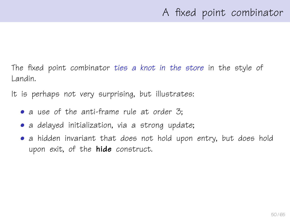The fixed point combinator ties a knot in the store in the style of Landin.

It is perhaps not very surprising, but illustrates:

- a use of the anti-frame rule at order 3;
- a delayed initialization, via a strong update;
- a hidden invariant that does not hold upon entry, but does hold upon exit, of the **hide** construct.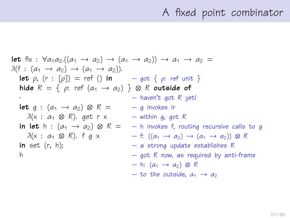## A fixed point combinator

let fix : 
$$
\forall a_1a_2.\left(\left(a_1 \rightarrow a_2\right) \rightarrow \left(a_1 \rightarrow a_2\right)\right) \rightarrow a_1 \rightarrow a_2 =
$$
  
\n $\lambda(f : (a_1 \rightarrow a_2) \rightarrow (a_1 \rightarrow a_2)).$   
\nlet  $\rho$ , (r : [p]) = ref () in – got {  $\rho$ : ref unit }  
\nhide R = {  $\rho$ : ref  $(a_1 \rightarrow a_2)$  }  $\otimes$  R outside of  
\n-- haven't got R yet  
\nlet g :  $(a_1 \rightarrow a_2) \otimes R = -g$  invokes!r  
\n $\lambda(x : a_1 \otimes R)$ . get r x – within g, got R  
\nin let h :  $(a_1 \rightarrow a_2) \otimes R = -h$  invokes f, routing recursive calls to g  
\n $\lambda(x : a_1 \otimes R)$ . f g x – f:  $((a_1 \rightarrow a_2) \rightarrow (a_1 \rightarrow a_2)) \otimes R$   
\nin set (r, h); – a strong update establishes R  
\n– got R now, as required by anti-frame  
\n– h:  $(a_1 \rightarrow a_2) \otimes R$   
\n– to the outside,  $a_1 \rightarrow a_2$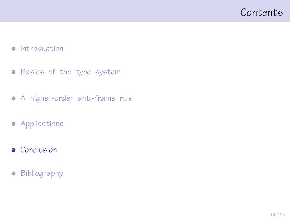### <span id="page-51-0"></span>Contents

#### • [Introduction](#page-1-0)

- **•** [Basics of the type system](#page-11-0)
- [A higher-order anti-frame rule](#page-21-0)
- **•** [Applications](#page-39-0)
- **•** [Conclusion](#page-51-0)
- **•** [Bibliography](#page-62-0)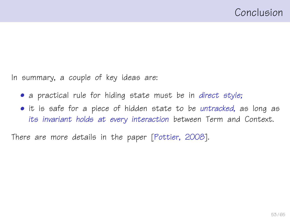In summary, a couple of key ideas are:

- a practical rule for hiding state must be in direct style;
- it is safe for a piece of hidden state to be untracked, as long as its invariant holds at every interaction between Term and Context.

There are more details in the paper [\[Pottier, 2008\]](#page-64-0).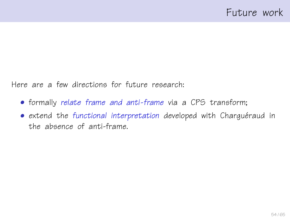Here are a few directions for future research:

- formally relate frame and anti-frame via a CPS transform;
- extend the functional interpretation developed with Charguéraud in the absence of anti-frame.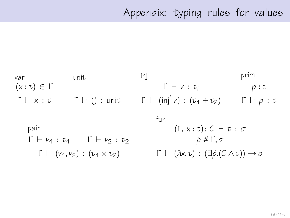# Appendix: typing rules for values

| var                                           | unit                                                                                        | inj                                                                                   | prim                     |
|-----------------------------------------------|---------------------------------------------------------------------------------------------|---------------------------------------------------------------------------------------|--------------------------|
| $(x:\tau) \in \Gamma$                         |                                                                                             | $\Gamma \vdash v : \tau_i$                                                            | p:U                      |
| $\Gamma \vdash x : \tau$                      | $\Gamma \vdash () :$ unit                                                                   | $\Gamma$ + (inj <sup>i</sup> v) : ( $\tau_1$ + $\tau_2$ )                             | $\Gamma \vdash p : \tau$ |
|                                               |                                                                                             | fun                                                                                   |                          |
| pair                                          |                                                                                             | $(\Gamma, x : \tau); C \vdash t : \sigma$                                             |                          |
|                                               | $\bar{\rho}$ # Г, $\sigma$<br>$\Gamma \vdash v_1 : \tau_1 \quad \Gamma \vdash v_2 : \tau_2$ |                                                                                       |                          |
| $\Gamma \vdash (v_1, v_2) : (v_1 \times v_2)$ |                                                                                             | $\Gamma \vdash (\lambda x. t) : (\exists \bar{\rho}.(C \wedge t)) \rightarrow \sigma$ |                          |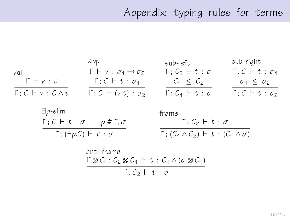# Appendix: typing rules for terms

| cap                              | sub-left                                          | sub-right                       |                                 |
|----------------------------------|---------------------------------------------------|---------------------------------|---------------------------------|
| val                              | $\Gamma \vdash v : \sigma_1 \rightarrow \sigma_2$ | $\Gamma; C_2 \vdash t : \sigma$ | $\Gamma; C \vdash t : \sigma_1$ |
| $\Gamma \vdash v : t$            | $\Gamma; C \vdash t : \sigma_1$                   | $C_1 \leq C_2$                  | $\sigma_1 \leq \sigma_2$        |
| $\Gamma; C \vdash v : C \land t$ | $\Gamma; C \vdash (vt) : \sigma_2$                | $\Gamma; C_1 \vdash t : \sigma$ | $\Gamma; C \vdash t : \sigma_2$ |

$$
\exists p\text{-elim} \qquad \text{frame} \qquad \qquad \Gamma; C \vdash t : \sigma \qquad p \text{ # } \Gamma, \sigma \qquad \qquad \Gamma; C_2 \vdash t : \sigma \qquad \qquad \Gamma; (\exists p.C) \vdash t : \sigma \qquad \qquad \overline{\Gamma; (C_1 \land C_2) \vdash t : (C_1 \land \sigma)}
$$

$$
\text{anti-frame}\atop \Gamma \otimes C_1; C_2 \otimes C_1 \vdash t: C_1 \wedge (\sigma \otimes C_1) \\
\Gamma; C_2 \vdash t: \sigma
$$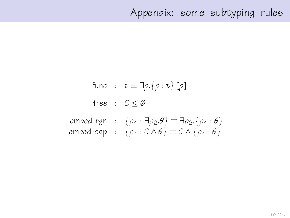## Appendix: some subtyping rules

func :  $\tau \equiv \exists \rho . \{\rho : \tau\} [\rho]$ free :  $C < \emptyset$ embed-rgn :  $\{\rho_1 : \exists \rho_2 \theta\} \equiv \exists \rho_2 \cdot \{\rho_1 : \theta\}$ embed-cap :  $\{\rho_1 : C \wedge \theta\} \equiv C \wedge \{\rho_1 : \theta\}$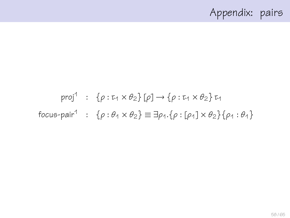# Appendix: pairs

# proj $1$  :  $\{\rho : \tau_1 \times \theta_2\}$  [ $\rho$ ]  $\rightarrow \{\rho : \tau_1 \times \theta_2\}$   $\tau_1$ focus-pair<sup>1</sup> :  $\{\rho : \theta_1 \times \theta_2\} \equiv \exists \rho_1.\{\rho : [\rho_1] \times \theta_2\} \{\rho_1 : \theta_1\}$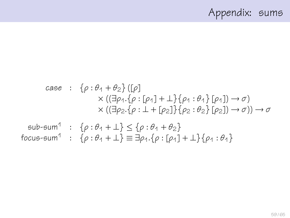# Appendix: sums

case : 
$$
\{\rho : \theta_1 + \theta_2\}
$$
 ([p]  
\n $\times$  (( $\exists \rho_1 \cdot \{\rho : [\rho_1] + \bot\}$  { $\rho_1 : \theta_1\}$  [ $\rho_1$ ])  $\rightarrow \sigma$ )  
\n $\times$  (( $\exists \rho_2 \cdot \{\rho : \bot + [\rho_2]\}$  { $\{\rho_2 : \theta_2\}$  [ $\rho_2$ ])  $\rightarrow \sigma$ >)  $\rightarrow \sigma$   
\nsub-sum<sup>1</sup> : { $\rho : \theta_1 + \bot\}$   $\leq \{\rho : \theta_1 + \theta_2\}$   
\nfocus-sum<sup>1</sup> : { $\rho : \theta_1 + \bot\}$   $\equiv \exists \rho_1 \cdot \{\rho : [\rho_1] + \bot\}$  { $\rho_1 : \theta_1$ }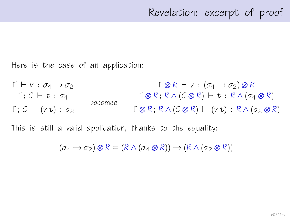Here is the case of an application:

 $\Gamma \vdash v : \sigma_1 \rightarrow \sigma_2$  $Γ$ ;  $C ⊢ t : σ<sub>1</sub>$  $Γ$ ;  $C$   $\vdash$  ( $v$  t) : σ<sub>2</sub> becomes  $\Gamma \otimes R \vdash v : (\sigma_1 \rightarrow \sigma_2) \otimes R$  $\Gamma \otimes R$ ;  $R \wedge (C \otimes R)$   $\vdash t : R \wedge (\sigma_1 \otimes R)$  $\Gamma \otimes R$ ;  $R \wedge (C \otimes R)$   $\vdash$  (v t) :  $R \wedge (\sigma_2 \otimes R)$ 

This is still a valid application, thanks to the equality:

 $(\sigma_1 \rightarrow \sigma_2) \otimes R = (R \wedge (\sigma_1 \otimes R)) \rightarrow (R \wedge (\sigma_2 \otimes R))$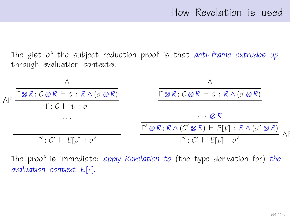The gist of the subject reduction proof is that anti-frame extrudes up through evaluation contexts:



The proof is immediate: apply Revelation to (the type derivation for) the evaluation context E[·].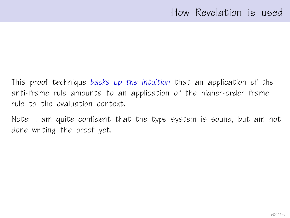This proof technique backs up the intuition that an application of the anti-frame rule amounts to an application of the higher-order frame rule to the evaluation context.

Note: I am quite confident that the type system is sound, but am not done writing the proof yet.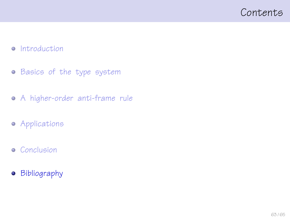### <span id="page-62-0"></span>Contents

#### • [Introduction](#page-1-0)

- **•** [Basics of the type system](#page-11-0)
- [A higher-order anti-frame rule](#page-21-0)
- **•** [Applications](#page-39-0)
- **•** [Conclusion](#page-51-0)
- **•** [Bibliography](#page-62-0)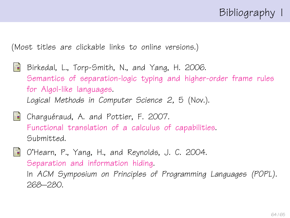# Bibliography I

(Most titles are clickable links to online versions.)

- <span id="page-63-1"></span>量 Birkedal, L., Torp-Smith, N., and Yang, H. 2006. [Semantics of separation-logic typing and higher-order frame rules](http://arxiv.org/pdf/cs.LO/0610081) [for Algol-like languages.](http://arxiv.org/pdf/cs.LO/0610081) Logical Methods in Computer Science 2, 5 (Nov.).
- <span id="page-63-0"></span>

**Charguéraud, A. and Pottier, F. 2007.** [Functional translation of a calculus of capabilities.](http://cristal.inria.fr/~fpottier/publis/chargueraud-pottier-capabilities.pdf) Submitted.

<span id="page-63-2"></span>O'Hearn, P., Yang, H., and Reynolds, J. C. 2004. [Separation and information hiding.](http://www.dcs.qmul.ac.uk/~ohearn/papers/separation-and-hiding.pdf) In ACM Symposium on Principles of Programming Languages (POPL). 268–280.